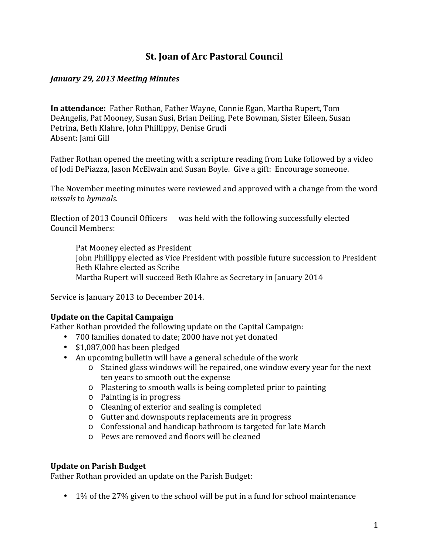# **St. Joan of Arc Pastoral Council**

#### *January 29, 2013 Meeting Minutes*

**In attendance:** Father Rothan, Father Wayne, Connie Egan, Martha Rupert, Tom DeAngelis, Pat Mooney, Susan Susi, Brian Deiling, Pete Bowman, Sister Eileen, Susan Petrina, Beth Klahre, John Phillippy, Denise Grudi Absent: Jami Gill

Father Rothan opened the meeting with a scripture reading from Luke followed by a video of Jodi DePiazza, Jason McElwain and Susan Boyle. Give a gift: Encourage someone.

The November meeting minutes were reviewed and approved with a change from the word *missals* to *hymnals.*

Election of 2013 Council Officers was held with the following successfully elected Council Members:

Pat Mooney elected as President John Phillippy elected as Vice President with possible future succession to President Beth Klahre elected as Scribe Martha Rupert will succeed Beth Klahre as Secretary in January 2014

Service is January 2013 to December 2014.

#### **Update on the Capital Campaign**

Father Rothan provided the following update on the Capital Campaign:<br>
• 700 families donated to date; 2000 have not yet donated

- 
- \$1,087,000 has been pledged
- An upcoming bulletin will have a general schedule of the work
	- o Stained glass windows will be repaired, one window every year for the next ten years to smooth out the expense
	- o Plastering to smooth walls is being completed prior to painting
	- o Painting is in progress
	- o Cleaning of exterior and sealing is completed
	- o Gutter and downspouts replacements are in progress
	- o Confessional and handicap bathroom is targeted for late March
	- o Pews are removed and floors will be cleaned

#### **Update on Parish Budget**

Father Rothan provided an update on the Parish Budget:

• 1% of the 27% given to the school will be put in a fund for school maintenance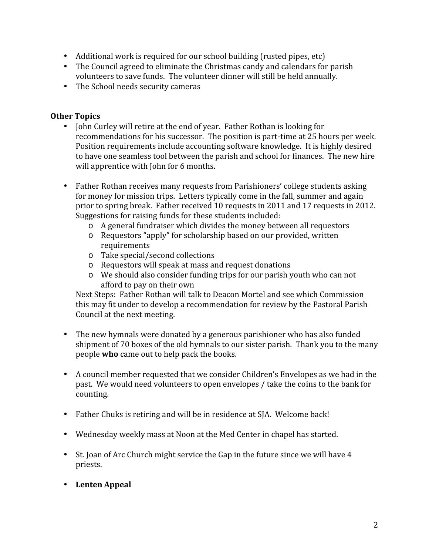- 
- Additional work is required for our school building (rusted pipes, etc) The Council agreed to eliminate the Christmas candy and calendars for parish volunteers to save funds. The volunteer dinner will still be held annually.<br>
• The School needs security cameras
- 

## **Other Topics**

- John Curley will retire at the end of year. Father Rothan is looking for recommendations for his successor. The position is part-time at 25 hours per week. Position requirements include accounting software knowledge. It is highly desired to have one seamless tool between the parish and school for finances. The new hire will apprentice with John for 6 months.
- Father Rothan receives many requests from Parishioners' college students asking for money for mission trips. Letters typically come in the fall, summer and again prior to spring break. Father received 10 requests in 2011 and 17 requests in 2012. Suggestions for raising funds for these students included:
	- o A general fundraiser which divides the money between all requestors
	- o Requestors "apply" for scholarship based on our provided, written requirements
	- o Take special/second collections
	- o Requestors will speak at mass and request donations
	- o We should also consider funding trips for our parish youth who can not afford to pay on their own

Next Steps: Father Rothan will talk to Deacon Mortel and see which Commission this may fit under to develop a recommendation for review by the Pastoral Parish Council at the next meeting.

- The new hymnals were donated by a generous parishioner who has also funded shipment of 70 boxes of the old hymnals to our sister parish. Thank you to the many people **who** came out to help pack the books.
- A council member requested that we consider Children's Envelopes as we had in the past. We would need volunteers to open envelopes / take the coins to the bank for counting.
- Father Chuks is retiring and will be in residence at SIA. Welcome back!
- Wednesday weekly mass at Noon at the Med Center in chapel has started.
- St. Joan of Arc Church might service the Gap in the future since we will have 4 priests.
- **Lenten Appeal**